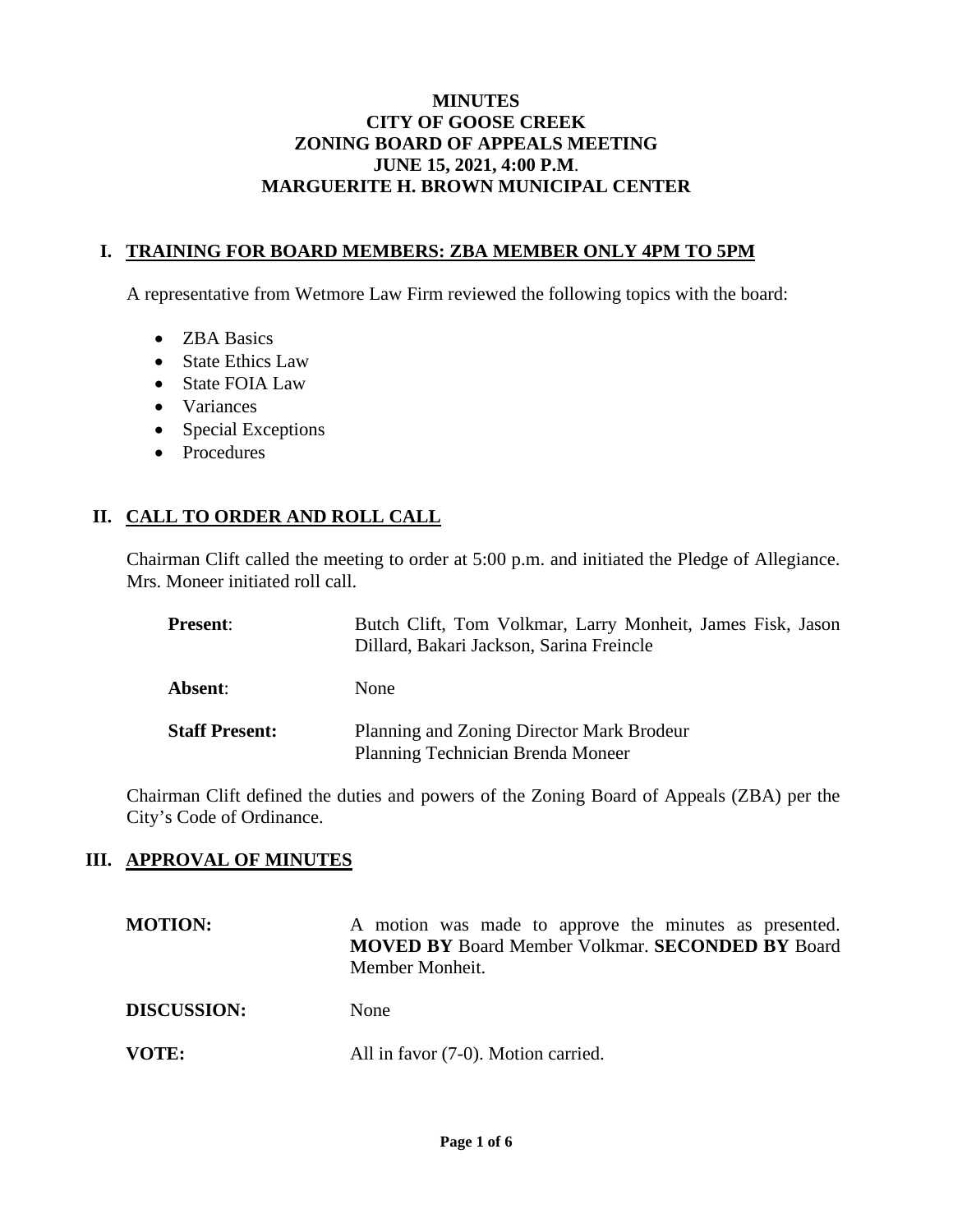#### **MINUTES CITY OF GOOSE CREEK ZONING BOARD OF APPEALS MEETING JUNE 15, 2021, 4:00 P.M**. **MARGUERITE H. BROWN MUNICIPAL CENTER**

#### **I. TRAINING FOR BOARD MEMBERS: ZBA MEMBER ONLY 4PM TO 5PM**

A representative from Wetmore Law Firm reviewed the following topics with the board:

- ZBA Basics
- State Ethics Law
- State FOIA Law
- Variances
- Special Exceptions
- Procedures

# **II. CALL TO ORDER AND ROLL CALL**

Chairman Clift called the meeting to order at 5:00 p.m. and initiated the Pledge of Allegiance. Mrs. Moneer initiated roll call.

| <b>Present:</b>       | Butch Clift, Tom Volkmar, Larry Monheit, James Fisk, Jason<br>Dillard, Bakari Jackson, Sarina Freincle |
|-----------------------|--------------------------------------------------------------------------------------------------------|
| Absent:               | None                                                                                                   |
| <b>Staff Present:</b> | Planning and Zoning Director Mark Brodeur<br>Planning Technician Brenda Moneer                         |

Chairman Clift defined the duties and powers of the Zoning Board of Appeals (ZBA) per the City's Code of Ordinance.

## **III. APPROVAL OF MINUTES**

| <b>MOTION:</b>     | A motion was made to approve the minutes as presented.<br><b>MOVED BY Board Member Volkmar. SECONDED BY Board</b><br>Member Monheit. |
|--------------------|--------------------------------------------------------------------------------------------------------------------------------------|
| <b>DISCUSSION:</b> | None                                                                                                                                 |
| VOTE:              | All in favor (7-0). Motion carried.                                                                                                  |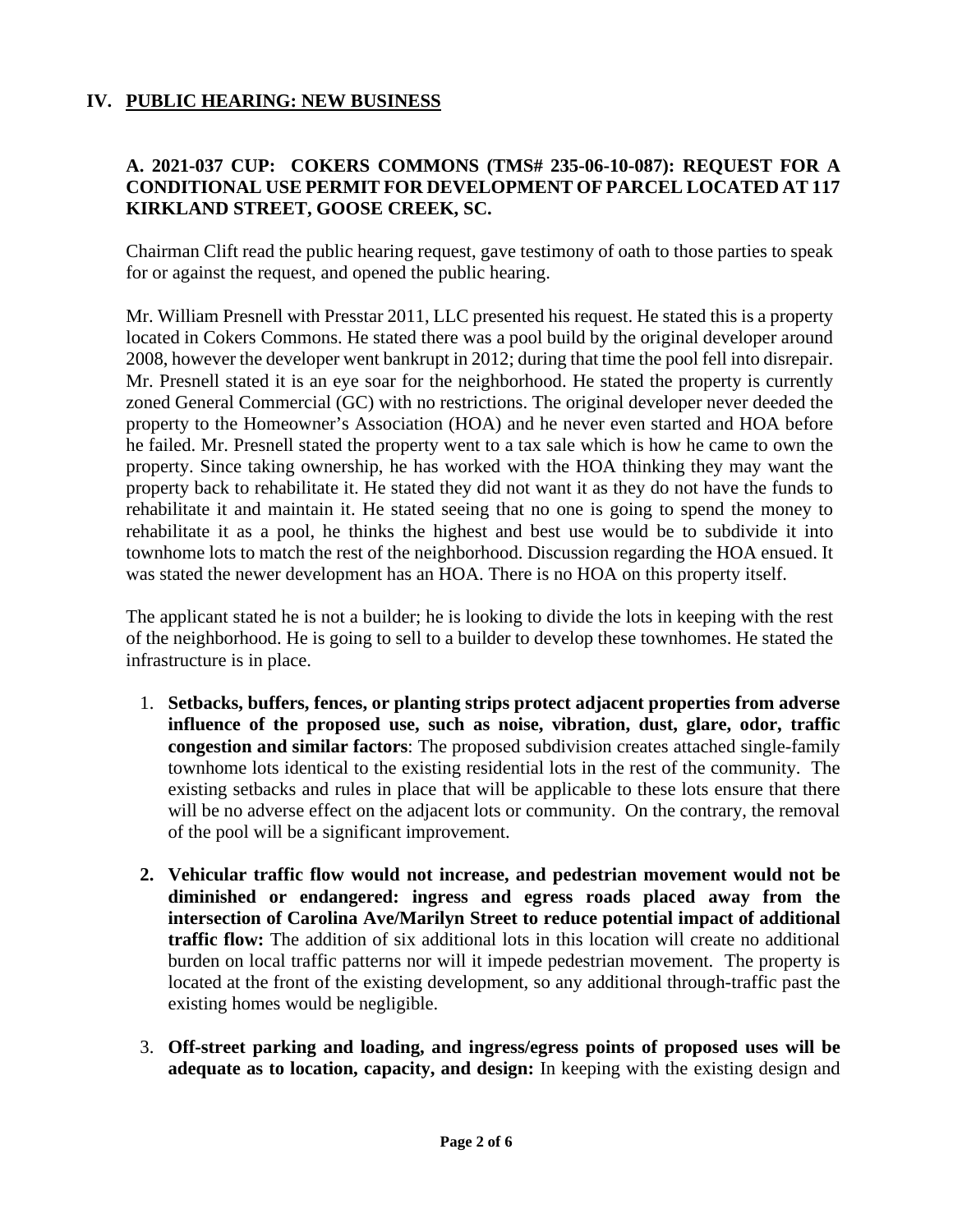# **IV. PUBLIC HEARING: NEW BUSINESS**

# **A. 2021-037 CUP: COKERS COMMONS (TMS# 235-06-10-087): REQUEST FOR A CONDITIONAL USE PERMIT FOR DEVELOPMENT OF PARCEL LOCATED AT 117 KIRKLAND STREET, GOOSE CREEK, SC.**

Chairman Clift read the public hearing request, gave testimony of oath to those parties to speak for or against the request, and opened the public hearing.

Mr. William Presnell with Presstar 2011, LLC presented his request. He stated this is a property located in Cokers Commons. He stated there was a pool build by the original developer around 2008, however the developer went bankrupt in 2012; during that time the pool fell into disrepair. Mr. Presnell stated it is an eye soar for the neighborhood. He stated the property is currently zoned General Commercial (GC) with no restrictions. The original developer never deeded the property to the Homeowner's Association (HOA) and he never even started and HOA before he failed. Mr. Presnell stated the property went to a tax sale which is how he came to own the property. Since taking ownership, he has worked with the HOA thinking they may want the property back to rehabilitate it. He stated they did not want it as they do not have the funds to rehabilitate it and maintain it. He stated seeing that no one is going to spend the money to rehabilitate it as a pool, he thinks the highest and best use would be to subdivide it into townhome lots to match the rest of the neighborhood. Discussion regarding the HOA ensued. It was stated the newer development has an HOA. There is no HOA on this property itself.

The applicant stated he is not a builder; he is looking to divide the lots in keeping with the rest of the neighborhood. He is going to sell to a builder to develop these townhomes. He stated the infrastructure is in place.

- 1. **Setbacks, buffers, fences, or planting strips protect adjacent properties from adverse influence of the proposed use, such as noise, vibration, dust, glare, odor, traffic congestion and similar factors**: The proposed subdivision creates attached single-family townhome lots identical to the existing residential lots in the rest of the community. The existing setbacks and rules in place that will be applicable to these lots ensure that there will be no adverse effect on the adjacent lots or community. On the contrary, the removal of the pool will be a significant improvement.
- **2. Vehicular traffic flow would not increase, and pedestrian movement would not be diminished or endangered: ingress and egress roads placed away from the intersection of Carolina Ave/Marilyn Street to reduce potential impact of additional traffic flow:** The addition of six additional lots in this location will create no additional burden on local traffic patterns nor will it impede pedestrian movement. The property is located at the front of the existing development, so any additional through-traffic past the existing homes would be negligible.
- 3. **Off-street parking and loading, and ingress/egress points of proposed uses will be adequate as to location, capacity, and design:** In keeping with the existing design and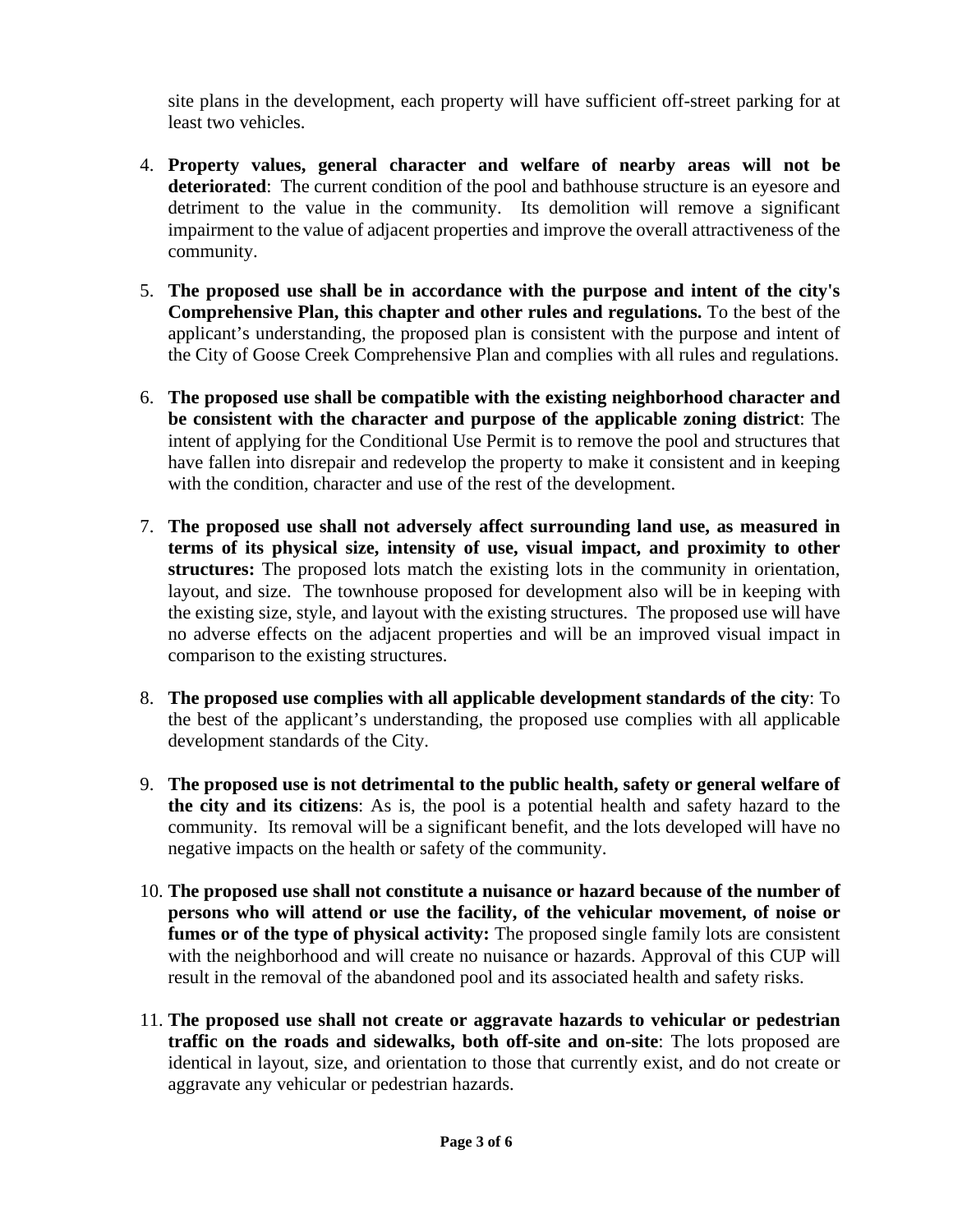site plans in the development, each property will have sufficient off-street parking for at least two vehicles.

- 4. **Property values, general character and welfare of nearby areas will not be deteriorated**: The current condition of the pool and bathhouse structure is an eyesore and detriment to the value in the community. Its demolition will remove a significant impairment to the value of adjacent properties and improve the overall attractiveness of the community.
- 5. **The proposed use shall be in accordance with the purpose and intent of the city's Comprehensive Plan, this chapter and other rules and regulations.** To the best of the applicant's understanding, the proposed plan is consistent with the purpose and intent of the City of Goose Creek Comprehensive Plan and complies with all rules and regulations.
- 6. **The proposed use shall be compatible with the existing neighborhood character and be consistent with the character and purpose of the applicable zoning district**: The intent of applying for the Conditional Use Permit is to remove the pool and structures that have fallen into disrepair and redevelop the property to make it consistent and in keeping with the condition, character and use of the rest of the development.
- 7. **The proposed use shall not adversely affect surrounding land use, as measured in terms of its physical size, intensity of use, visual impact, and proximity to other structures:** The proposed lots match the existing lots in the community in orientation, layout, and size. The townhouse proposed for development also will be in keeping with the existing size, style, and layout with the existing structures. The proposed use will have no adverse effects on the adjacent properties and will be an improved visual impact in comparison to the existing structures.
- 8. **The proposed use complies with all applicable development standards of the city**: To the best of the applicant's understanding, the proposed use complies with all applicable development standards of the City.
- 9. **The proposed use is not detrimental to the public health, safety or general welfare of the city and its citizens**: As is, the pool is a potential health and safety hazard to the community. Its removal will be a significant benefit, and the lots developed will have no negative impacts on the health or safety of the community.
- 10. **The proposed use shall not constitute a nuisance or hazard because of the number of persons who will attend or use the facility, of the vehicular movement, of noise or fumes or of the type of physical activity:** The proposed single family lots are consistent with the neighborhood and will create no nuisance or hazards. Approval of this CUP will result in the removal of the abandoned pool and its associated health and safety risks.
- 11. **The proposed use shall not create or aggravate hazards to vehicular or pedestrian traffic on the roads and sidewalks, both off-site and on-site**: The lots proposed are identical in layout, size, and orientation to those that currently exist, and do not create or aggravate any vehicular or pedestrian hazards.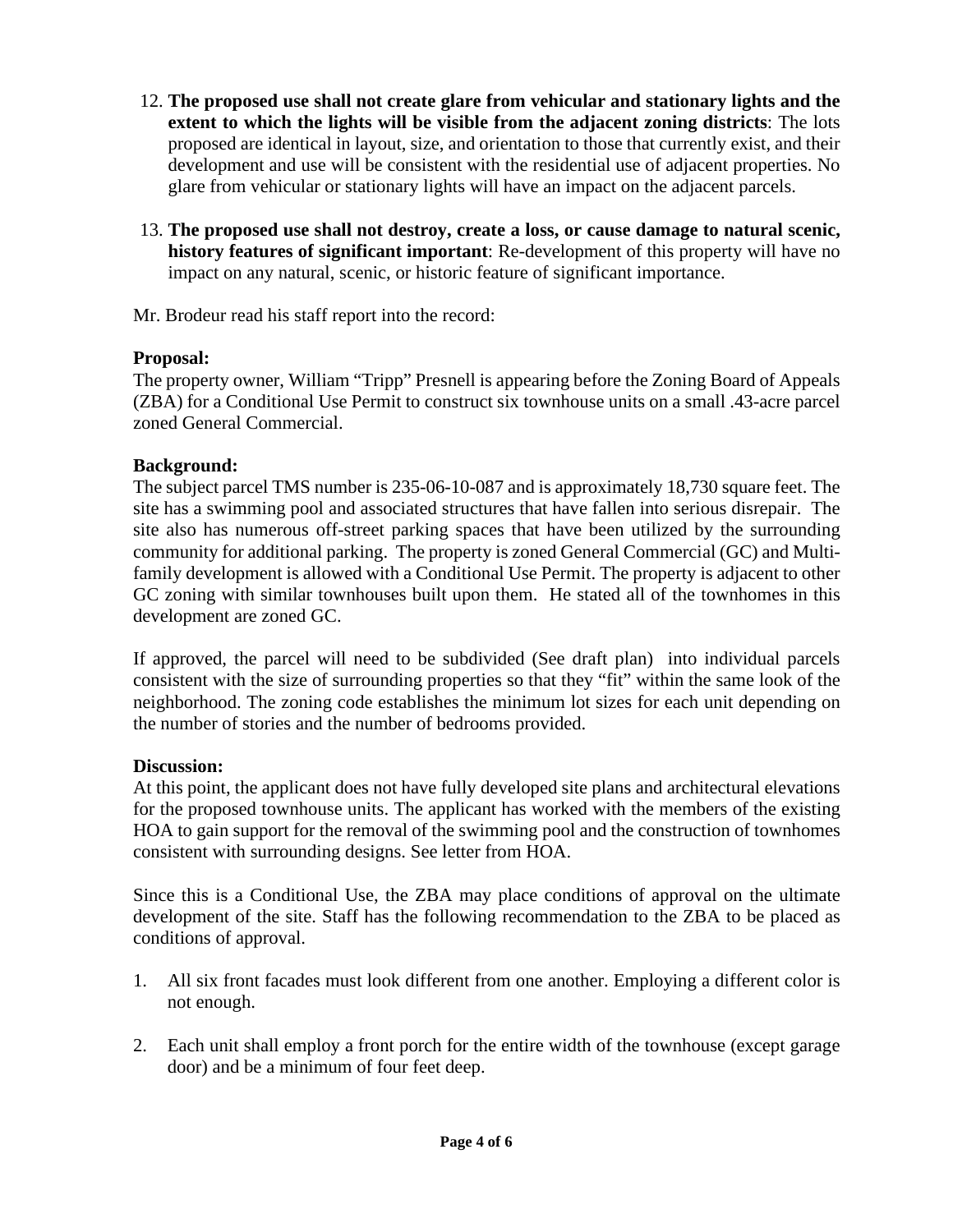- 12. **The proposed use shall not create glare from vehicular and stationary lights and the extent to which the lights will be visible from the adjacent zoning districts**: The lots proposed are identical in layout, size, and orientation to those that currently exist, and their development and use will be consistent with the residential use of adjacent properties. No glare from vehicular or stationary lights will have an impact on the adjacent parcels.
- 13. **The proposed use shall not destroy, create a loss, or cause damage to natural scenic, history features of significant important**: Re-development of this property will have no impact on any natural, scenic, or historic feature of significant importance.

Mr. Brodeur read his staff report into the record:

## **Proposal:**

The property owner, William "Tripp" Presnell is appearing before the Zoning Board of Appeals (ZBA) for a Conditional Use Permit to construct six townhouse units on a small .43-acre parcel zoned General Commercial.

# **Background:**

The subject parcel TMS number is 235-06-10-087 and is approximately 18,730 square feet. The site has a swimming pool and associated structures that have fallen into serious disrepair. The site also has numerous off-street parking spaces that have been utilized by the surrounding community for additional parking. The property is zoned General Commercial (GC) and Multifamily development is allowed with a Conditional Use Permit. The property is adjacent to other GC zoning with similar townhouses built upon them. He stated all of the townhomes in this development are zoned GC.

If approved, the parcel will need to be subdivided (See draft plan) into individual parcels consistent with the size of surrounding properties so that they "fit" within the same look of the neighborhood. The zoning code establishes the minimum lot sizes for each unit depending on the number of stories and the number of bedrooms provided.

## **Discussion:**

At this point, the applicant does not have fully developed site plans and architectural elevations for the proposed townhouse units. The applicant has worked with the members of the existing HOA to gain support for the removal of the swimming pool and the construction of townhomes consistent with surrounding designs. See letter from HOA.

Since this is a Conditional Use, the ZBA may place conditions of approval on the ultimate development of the site. Staff has the following recommendation to the ZBA to be placed as conditions of approval.

- 1. All six front facades must look different from one another. Employing a different color is not enough.
- 2. Each unit shall employ a front porch for the entire width of the townhouse (except garage door) and be a minimum of four feet deep.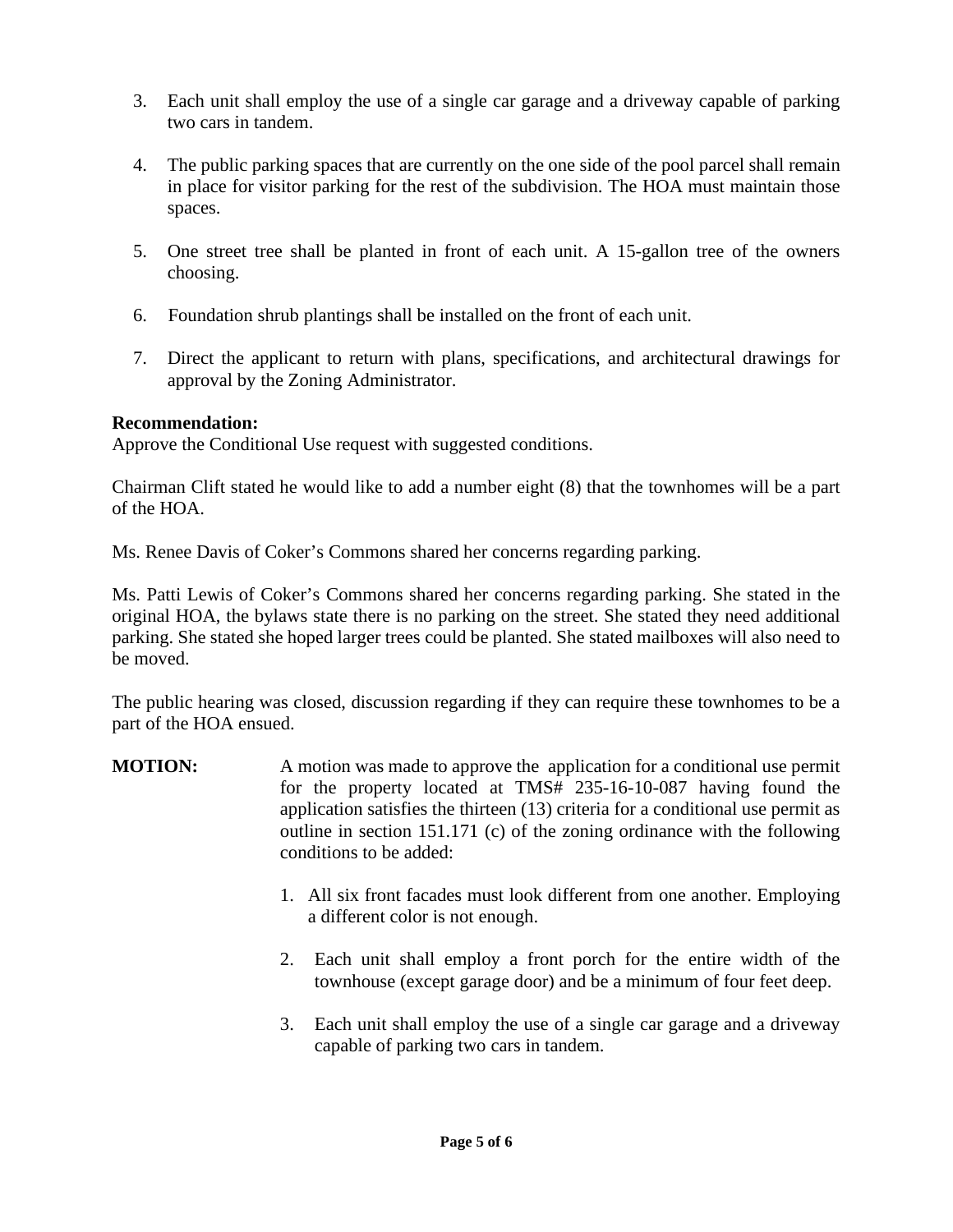- 3. Each unit shall employ the use of a single car garage and a driveway capable of parking two cars in tandem.
- 4. The public parking spaces that are currently on the one side of the pool parcel shall remain in place for visitor parking for the rest of the subdivision. The HOA must maintain those spaces.
- 5. One street tree shall be planted in front of each unit. A 15-gallon tree of the owners choosing.
- 6. Foundation shrub plantings shall be installed on the front of each unit.
- 7. Direct the applicant to return with plans, specifications, and architectural drawings for approval by the Zoning Administrator.

#### **Recommendation:**

Approve the Conditional Use request with suggested conditions.

Chairman Clift stated he would like to add a number eight (8) that the townhomes will be a part of the HOA.

Ms. Renee Davis of Coker's Commons shared her concerns regarding parking.

Ms. Patti Lewis of Coker's Commons shared her concerns regarding parking. She stated in the original HOA, the bylaws state there is no parking on the street. She stated they need additional parking. She stated she hoped larger trees could be planted. She stated mailboxes will also need to be moved.

The public hearing was closed, discussion regarding if they can require these townhomes to be a part of the HOA ensued.

- **MOTION:** A motion was made to approve the application for a conditional use permit for the property located at TMS# 235-16-10-087 having found the application satisfies the thirteen (13) criteria for a conditional use permit as outline in section 151.171 (c) of the zoning ordinance with the following conditions to be added:
	- 1. All six front facades must look different from one another. Employing a different color is not enough.
	- 2. Each unit shall employ a front porch for the entire width of the townhouse (except garage door) and be a minimum of four feet deep.
	- 3. Each unit shall employ the use of a single car garage and a driveway capable of parking two cars in tandem.